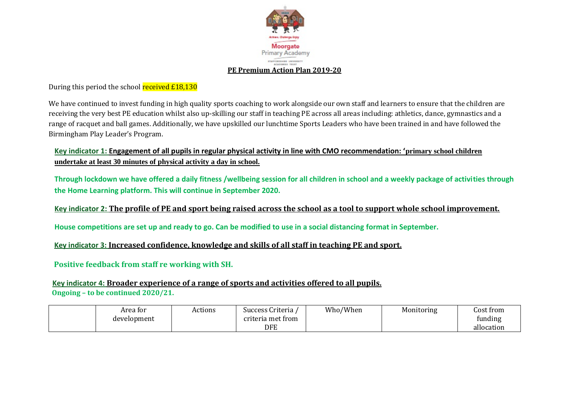

During this period the school received £18,130

We have continued to invest funding in high quality sports coaching to work alongside our own staff and learners to ensure that the children are receiving the very best PE education whilst also up-skilling our staff in teaching PE across all areas including: athletics, dance, gymnastics and a range of racquet and ball games. Additionally, we have upskilled our lunchtime Sports Leaders who have been trained in and have followed the Birmingham Play Leader's Program.

**Key indicator 1: Engagement of all pupils in regular physical activity in line with CMO recommendation: 'primary school children undertake at least 30 minutes of physical activity a day in school.**

**Through lockdown we have offered a daily fitness /wellbeing session for all children in school and a weekly package of activities through the Home Learning platform. This will continue in September 2020.**

**Key indicator 2: The profile of PE and sport being raised across the school as a tool to support whole school improvement.**

**House competitions are set up and ready to go. Can be modified to use in a social distancing format in September.**

 **Key indicator 3: Increased confidence, knowledge and skills of all staff in teaching PE and sport.**

 **Positive feedback from staff re working with SH.**

 **Key indicator 4: Broader experience of a range of sports and activities offered to all pupils. Ongoing – to be continued 2020/21.**

| Area for    | Actions | $\sim$ $\sim$<br>Success Criteria | Who/When | Monitoring | Cost from  |
|-------------|---------|-----------------------------------|----------|------------|------------|
| development |         | criteria met from                 |          |            | funding    |
|             |         | DFE                               |          |            | allocation |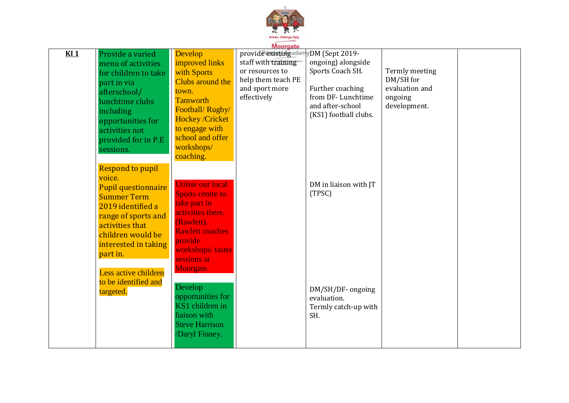

|     |                            |                         | Moorgate             |                        |                |  |
|-----|----------------------------|-------------------------|----------------------|------------------------|----------------|--|
| K11 | Provide a varied           | <b>Develop</b>          | provide existingadem | <b>yDM</b> (Sept 2019- |                |  |
|     | menu of activities         | improved links          | staff with training  | ongoing) alongside     |                |  |
|     | for children to take       | with Sports             | or resources to      | Sports Coach SH.       | Termly meeting |  |
|     | part in via                | Clubs around the        | help them teach PE   |                        | DM/SH for      |  |
|     | afterschool/               | town.                   | and sport more       | Further coaching       | evaluation and |  |
|     | lunchtime clubs            | <b>Tamworth</b>         | effectively          | from DF-Lunchtime      | ongoing        |  |
|     | including                  | Football/Rugby/         |                      | and after-school       | development.   |  |
|     | opportunities for          | <b>Hockey</b> / Cricket |                      | (KS1) football clubs.  |                |  |
|     | activities not             | to engage with          |                      |                        |                |  |
|     | provided for in P.E        | school and offer        |                      |                        |                |  |
|     | sessions.                  | workshops/              |                      |                        |                |  |
|     |                            | coaching.               |                      |                        |                |  |
|     | <b>Respond to pupil</b>    |                         |                      |                        |                |  |
|     | voice.                     |                         |                      |                        |                |  |
|     | <b>Pupil questionnaire</b> | Utilise our local       |                      | DM in liaison with JT  |                |  |
|     | <b>Summer Term</b>         | <b>Sports centre to</b> |                      | (TPSC)                 |                |  |
|     | 2019 identified a          | take part in            |                      |                        |                |  |
|     | range of sports and        | activities there.       |                      |                        |                |  |
|     | activities that            | (Rawlett).              |                      |                        |                |  |
|     | children would be          | <b>Rawlett coaches</b>  |                      |                        |                |  |
|     |                            | provide                 |                      |                        |                |  |
|     | interested in taking       | workshops/taster        |                      |                        |                |  |
|     | part in.                   | sessions at             |                      |                        |                |  |
|     | Less active children       | Moorgate.               |                      |                        |                |  |
|     | to be identified and       |                         |                      |                        |                |  |
|     |                            | Develop                 |                      | DM/SH/DF- ongoing      |                |  |
|     | targeted.                  | opportunities for       |                      | evaluation.            |                |  |
|     |                            | KS1 children in         |                      | Termly catch-up with   |                |  |
|     |                            | liaison with            |                      | SH.                    |                |  |
|     |                            | <b>Steve Harrison</b>   |                      |                        |                |  |
|     |                            | Daryl Finney.           |                      |                        |                |  |
|     |                            |                         |                      |                        |                |  |
|     |                            |                         |                      |                        |                |  |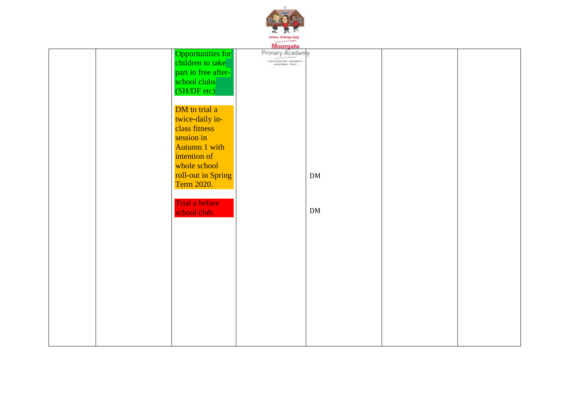|  |                                       | Active, Outletge Enjo                       |      |  |
|--|---------------------------------------|---------------------------------------------|------|--|
|  |                                       | Moorgate                                    |      |  |
|  | Opportunities for<br>children to take | Primary Academy<br>STAFFORDSHIEL UNIVERSITY |      |  |
|  | part in free after-                   |                                             |      |  |
|  | school clubs<br>(SH/DF etc)           |                                             |      |  |
|  | DM to trial a                         |                                             |      |  |
|  | twice-daily in-                       |                                             |      |  |
|  | class fitness                         |                                             |      |  |
|  | session in<br>Autumn 1 with           |                                             |      |  |
|  | intention of                          |                                             |      |  |
|  | whole school<br>roll-out in Spring    |                                             | $DM$ |  |
|  | <b>Term 2020.</b>                     |                                             |      |  |
|  | Trial a before                        |                                             |      |  |
|  | school club.                          |                                             | $DM$ |  |
|  |                                       |                                             |      |  |
|  |                                       |                                             |      |  |
|  |                                       |                                             |      |  |
|  |                                       |                                             |      |  |
|  |                                       |                                             |      |  |
|  |                                       |                                             |      |  |
|  |                                       |                                             |      |  |
|  |                                       |                                             |      |  |
|  |                                       |                                             |      |  |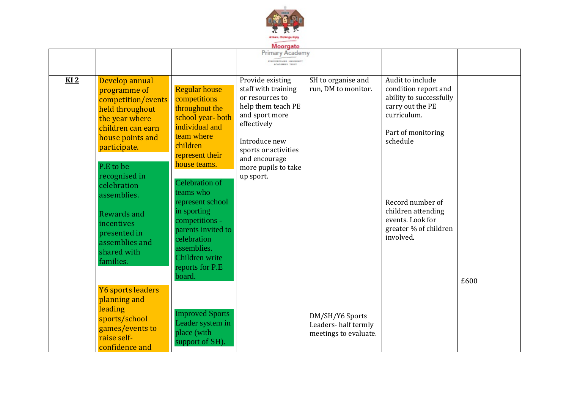

|                 |                                                                                                                                                                                                                                                                                                                  |                                                                                                                                                                                                                                                                                                                                        | Moorgate                                                                                                                                                                                                        |                                                                 |                                                                                                                                                                                                                                              |      |
|-----------------|------------------------------------------------------------------------------------------------------------------------------------------------------------------------------------------------------------------------------------------------------------------------------------------------------------------|----------------------------------------------------------------------------------------------------------------------------------------------------------------------------------------------------------------------------------------------------------------------------------------------------------------------------------------|-----------------------------------------------------------------------------------------------------------------------------------------------------------------------------------------------------------------|-----------------------------------------------------------------|----------------------------------------------------------------------------------------------------------------------------------------------------------------------------------------------------------------------------------------------|------|
|                 |                                                                                                                                                                                                                                                                                                                  |                                                                                                                                                                                                                                                                                                                                        | Primary Academy<br><b>STAFF ORDINERS</b> UNIVERSIT                                                                                                                                                              |                                                                 |                                                                                                                                                                                                                                              |      |
| KL <sub>2</sub> | Develop annual<br>programme of<br>competition/events<br>held throughout<br>the year where<br>children can earn<br>house points and<br>participate.<br>P.E to be<br>recognised in<br>celebration<br>assemblies.<br><b>Rewards and</b><br>incentives<br>presented in<br>assemblies and<br>shared with<br>families. | <b>Regular house</b><br>competitions<br>throughout the<br>school year-both<br>individual and<br>team where<br>children<br>represent their<br>house teams.<br>Celebration of<br>teams who<br>represent school<br>in sporting<br>competitions -<br>parents invited to<br>celebration<br>assemblies.<br>Children write<br>reports for P.E | Provide existing<br>staff with training<br>or resources to<br>help them teach PE<br>and sport more<br>effectively<br>Introduce new<br>sports or activities<br>and encourage<br>more pupils to take<br>up sport. | SH to organise and<br>run, DM to monitor.                       | Audit to include<br>condition report and<br>ability to successfully<br>carry out the PE<br>curriculum.<br>Part of monitoring<br>schedule<br>Record number of<br>children attending<br>events. Look for<br>greater % of children<br>involved. |      |
|                 | Y6 sports leaders<br>planning and<br>leading<br>sports/school<br>games/events to<br>raise self-<br>confidence and                                                                                                                                                                                                | board.<br><b>Improved Sports</b><br>Leader system in<br>place (with<br>support of SH).                                                                                                                                                                                                                                                 |                                                                                                                                                                                                                 | DM/SH/Y6 Sports<br>Leaders-half termly<br>meetings to evaluate. |                                                                                                                                                                                                                                              | £600 |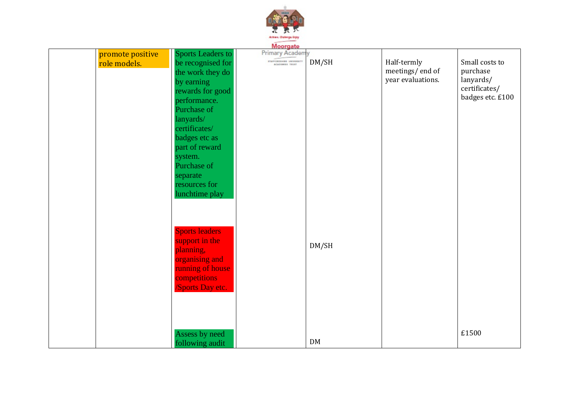| promote positive<br>role models. | <b>Sports Leaders to</b><br>be recognised for<br>the work they do<br>by earning<br>rewards for good<br>performance.<br>Purchase of<br>lanyards/<br>certificates/<br>badges etc as<br>part of reward<br>system.<br>Purchase of<br>separate<br>resources for<br>lunchtime play | Moorgate<br>Primary Academy<br>STAPPORDSHIEL UNIVERSITY | DM/SH     | Half-termly<br>meetings/end of<br>year evaluations. | Small costs to<br>purchase<br>lanyards/<br>certificates/<br>badges etc. £100 |
|----------------------------------|------------------------------------------------------------------------------------------------------------------------------------------------------------------------------------------------------------------------------------------------------------------------------|---------------------------------------------------------|-----------|-----------------------------------------------------|------------------------------------------------------------------------------|
|                                  | <b>Sports leaders</b><br>support in the<br>planning,<br>organising and<br>running of house<br>competitions<br><b>Sports Day etc.</b><br>Assess by need                                                                                                                       |                                                         | DM/SH     |                                                     | £1500                                                                        |
|                                  | following audit                                                                                                                                                                                                                                                              |                                                         | <b>DM</b> |                                                     |                                                                              |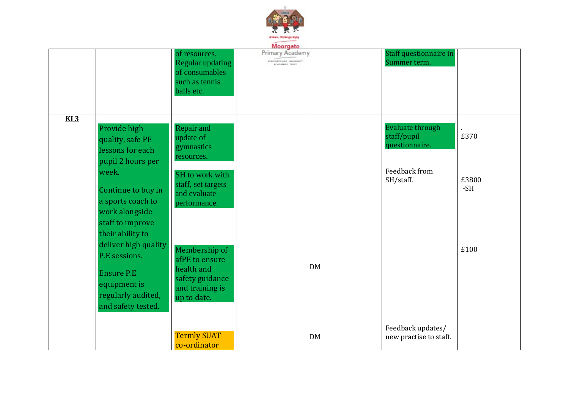

|     |                                                                                                                                                                                         |                                                                                                                              | Moorgate                                 |           |                                                                                        |                        |
|-----|-----------------------------------------------------------------------------------------------------------------------------------------------------------------------------------------|------------------------------------------------------------------------------------------------------------------------------|------------------------------------------|-----------|----------------------------------------------------------------------------------------|------------------------|
|     |                                                                                                                                                                                         | of resources.<br>Regular updating<br>of consumables<br>such as tennis<br>balls etc.                                          | Primary Academy<br>TAPPOSSOHIS UNIVERSIT |           | Staff questionnaire in<br>Summer term.                                                 |                        |
| K13 | Provide high<br>quality, safe PE<br>lessons for each<br>pupil 2 hours per<br>week.<br>Continue to buy in<br>a sports coach to<br>work alongside<br>staff to improve<br>their ability to | Repair and<br>update of<br>gymnastics<br>resources.<br>SH to work with<br>staff, set targets<br>and evaluate<br>performance. |                                          |           | <b>Evaluate through</b><br>staff/pupil<br>questionnaire.<br>Feedback from<br>SH/staff. | £370<br>£3800<br>$-SH$ |
|     | deliver high quality<br>P.E sessions.<br><b>Ensure P.E</b><br>equipment is<br>regularly audited,<br>and safety tested.                                                                  | Membership of<br>afPE to ensure<br>health and<br>safety guidance<br>and training is<br>up to date.                           |                                          | <b>DM</b> |                                                                                        | £100                   |
|     |                                                                                                                                                                                         | <b>Termly SUAT</b><br>co-ordinator                                                                                           |                                          | <b>DM</b> | Feedback updates/<br>new practise to staff.                                            |                        |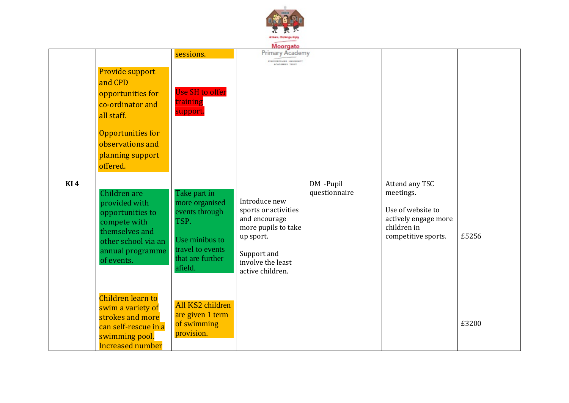

| Moorgate   |                                                                                                                                                            |                                                                                                                               |                                                                                                                                                    |                            |                                                                                                                |       |  |
|------------|------------------------------------------------------------------------------------------------------------------------------------------------------------|-------------------------------------------------------------------------------------------------------------------------------|----------------------------------------------------------------------------------------------------------------------------------------------------|----------------------------|----------------------------------------------------------------------------------------------------------------|-------|--|
|            | Provide support<br>and CPD<br>opportunities for<br>co-ordinator and<br>all staff.<br>Opportunities for<br>observations and<br>planning support<br>offered. | sessions.<br><b>Use SH</b> to offer<br>training<br>support.                                                                   | Primary Academy<br><b>STAFF ORDINERS</b> UNIVERSITY<br><b>ACADEMIES TELEP</b>                                                                      |                            |                                                                                                                |       |  |
| <b>KI4</b> | Children are<br>provided with<br>opportunities to<br>compete with<br>themselves and<br>other school via an<br>annual programme<br>of events.               | Take part in<br>more organised<br>events through<br>TSP.<br>Use minibus to<br>travel to events<br>that are further<br>afield. | Introduce new<br>sports or activities<br>and encourage<br>more pupils to take<br>up sport.<br>Support and<br>involve the least<br>active children. | DM -Pupil<br>questionnaire | Attend any TSC<br>meetings.<br>Use of website to<br>actively engage more<br>children in<br>competitive sports. | £5256 |  |
|            | Children learn to<br>swim a variety of<br>strokes and more<br>can self-rescue in a<br>swimming pool.<br><b>Increased number</b>                            | All KS2 children<br>are given 1 term<br>of swimming<br>provision.                                                             |                                                                                                                                                    |                            |                                                                                                                | £3200 |  |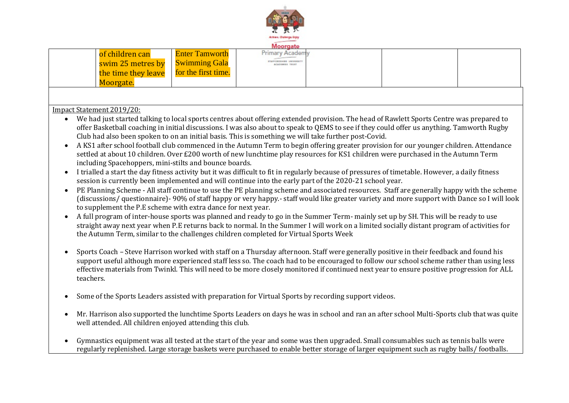

|                           |                     |                                                                                                         | Moorgate                |                                                                                                                                                  |  |
|---------------------------|---------------------|---------------------------------------------------------------------------------------------------------|-------------------------|--------------------------------------------------------------------------------------------------------------------------------------------------|--|
|                           | of children can     | <b>Enter Tamworth</b>                                                                                   | Primary Academy         |                                                                                                                                                  |  |
|                           | swim 25 metres by   | <b>Swimming Gala</b>                                                                                    | TAPPOSSOHISE UNIVERSITY |                                                                                                                                                  |  |
|                           | the time they leave | for the first time.                                                                                     |                         |                                                                                                                                                  |  |
|                           | Moorgate.           |                                                                                                         |                         |                                                                                                                                                  |  |
|                           |                     |                                                                                                         |                         |                                                                                                                                                  |  |
|                           |                     |                                                                                                         |                         |                                                                                                                                                  |  |
| Impact Statement 2019/20: |                     |                                                                                                         |                         |                                                                                                                                                  |  |
|                           |                     |                                                                                                         |                         | We had just started talking to local sports centres about offering extended provision. The head of Rawlett Sports Centre was prepared to         |  |
|                           |                     |                                                                                                         |                         | offer Basketball coaching in initial discussions. I was also about to speak to QEMS to see if they could offer us anything. Tamworth Rugby       |  |
|                           |                     | Club had also been spoken to on an initial basis. This is something we will take further post-Covid.    |                         |                                                                                                                                                  |  |
| $\bullet$                 |                     |                                                                                                         |                         | A KS1 after school football club commenced in the Autumn Term to begin offering greater provision for our younger children. Attendance           |  |
|                           |                     |                                                                                                         |                         | settled at about 10 children. Over £200 worth of new lunchtime play resources for KS1 children were purchased in the Autumn Term                 |  |
|                           |                     | including Spacehoppers, mini-stilts and bounce boards.                                                  |                         |                                                                                                                                                  |  |
| $\bullet$                 |                     |                                                                                                         |                         | I trialled a start the day fitness activity but it was difficult to fit in regularly because of pressures of timetable. However, a daily fitness |  |
|                           |                     | session is currently been implemented and will continue into the early part of the 2020-21 school year. |                         |                                                                                                                                                  |  |
| $\bullet$                 |                     |                                                                                                         |                         | PE Planning Scheme - All staff continue to use the PE planning scheme and associated resources. Staff are generally happy with the scheme        |  |
|                           |                     |                                                                                                         |                         | (discussions/ questionnaire)-90% of staff happy or very happy.- staff would like greater variety and more support with Dance so I will look      |  |
|                           |                     | to supplement the P.E scheme with extra dance for next year.                                            |                         |                                                                                                                                                  |  |
|                           |                     |                                                                                                         |                         | A full program of inter-house sports was planned and ready to go in the Summer Term- mainly set up by SH. This will be ready to use              |  |
|                           |                     |                                                                                                         |                         | straight away next year when P.E returns back to normal. In the Summer I will work on a limited socially distant program of activities for       |  |
|                           |                     | the Autumn Term, similar to the challenges children completed for Virtual Sports Week                   |                         |                                                                                                                                                  |  |
|                           |                     |                                                                                                         |                         |                                                                                                                                                  |  |
|                           |                     |                                                                                                         |                         | Sports Coach - Steve Harrison worked with staff on a Thursday afternoon. Staff were generally positive in their feedback and found his           |  |
|                           |                     |                                                                                                         |                         | support useful although more experienced staff less so. The coach had to be encouraged to follow our school scheme rather than using less        |  |
|                           |                     |                                                                                                         |                         | effective materials from Twinkl. This will need to be more closely monitored if continued next year to ensure positive progression for ALL       |  |
| teachers.                 |                     |                                                                                                         |                         |                                                                                                                                                  |  |
|                           |                     |                                                                                                         |                         |                                                                                                                                                  |  |
| $\bullet$                 |                     | Some of the Sports Leaders assisted with preparation for Virtual Sports by recording support videos.    |                         |                                                                                                                                                  |  |
|                           |                     |                                                                                                         |                         |                                                                                                                                                  |  |
|                           |                     |                                                                                                         |                         | Mr. Harrison also supported the lunchtime Sports Leaders on days he was in school and ran an after school Multi-Sports club that was quite       |  |
|                           |                     | well attended. All children enjoyed attending this club.                                                |                         |                                                                                                                                                  |  |

 Gymnastics equipment was all tested at the start of the year and some was then upgraded. Small consumables such as tennis balls were regularly replenished. Large storage baskets were purchased to enable better storage of larger equipment such as rugby balls/ footballs.